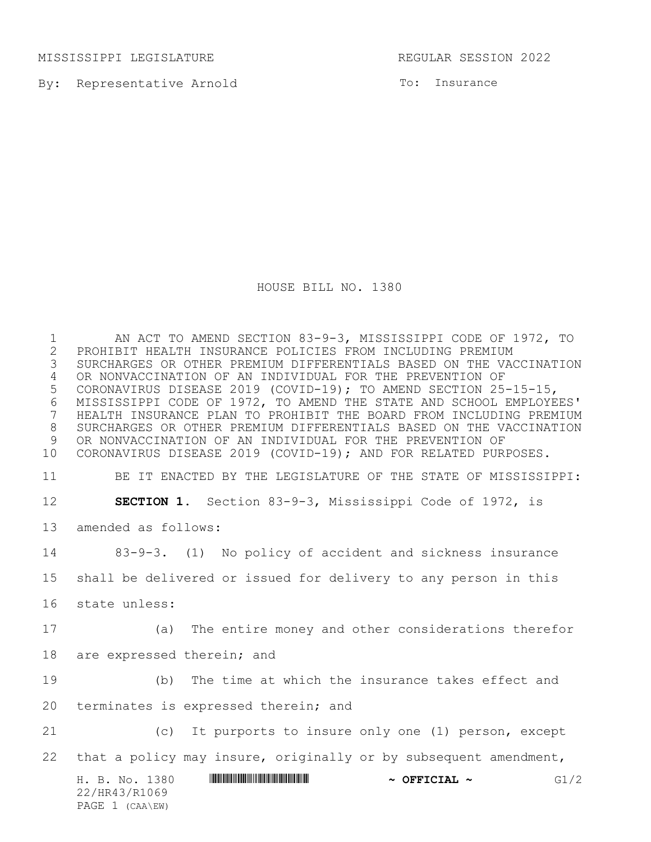MISSISSIPPI LEGISLATURE **REGULAR SESSION 2022** 

By: Representative Arnold

To: Insurance

HOUSE BILL NO. 1380

H. B. No. 1380 \*HR43/R1069\* **~ OFFICIAL ~** G1/2 22/HR43/R1069 PAGE 1 (CAA\EW) 1 AN ACT TO AMEND SECTION 83-9-3, MISSISSIPPI CODE OF 1972, TO<br>2 PROHIBIT HEALTH INSURANCE POLICIES FROM INCLUDING PREMIUM PROHIBIT HEALTH INSURANCE POLICIES FROM INCLUDING PREMIUM SURCHARGES OR OTHER PREMIUM DIFFERENTIALS BASED ON THE VACCINATION OR NONVACCINATION OF AN INDIVIDUAL FOR THE PREVENTION OF CORONAVIRUS DISEASE 2019 (COVID-19); TO AMEND SECTION 25-15-15, MISSISSIPPI CODE OF 1972, TO AMEND THE STATE AND SCHOOL EMPLOYEES' HEALTH INSURANCE PLAN TO PROHIBIT THE BOARD FROM INCLUDING PREMIUM SURCHARGES OR OTHER PREMIUM DIFFERENTIALS BASED ON THE VACCINATION OR NONVACCINATION OF AN INDIVIDUAL FOR THE PREVENTION OF CORONAVIRUS DISEASE 2019 (COVID-19); AND FOR RELATED PURPOSES. BE IT ENACTED BY THE LEGISLATURE OF THE STATE OF MISSISSIPPI: **SECTION 1.** Section 83-9-3, Mississippi Code of 1972, is amended as follows: 83-9-3. (1) No policy of accident and sickness insurance shall be delivered or issued for delivery to any person in this state unless: (a) The entire money and other considerations therefor are expressed therein; and (b) The time at which the insurance takes effect and terminates is expressed therein; and (c) It purports to insure only one (1) person, except that a policy may insure, originally or by subsequent amendment,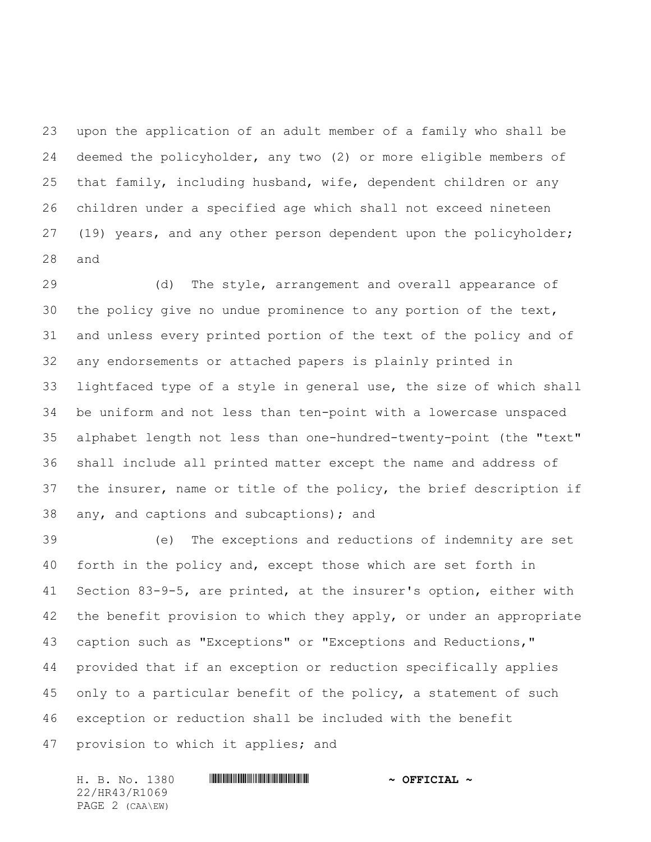upon the application of an adult member of a family who shall be deemed the policyholder, any two (2) or more eligible members of that family, including husband, wife, dependent children or any children under a specified age which shall not exceed nineteen (19) years, and any other person dependent upon the policyholder; and

 (d) The style, arrangement and overall appearance of the policy give no undue prominence to any portion of the text, and unless every printed portion of the text of the policy and of any endorsements or attached papers is plainly printed in lightfaced type of a style in general use, the size of which shall be uniform and not less than ten-point with a lowercase unspaced alphabet length not less than one-hundred-twenty-point (the "text" shall include all printed matter except the name and address of the insurer, name or title of the policy, the brief description if any, and captions and subcaptions); and

 (e) The exceptions and reductions of indemnity are set forth in the policy and, except those which are set forth in Section 83-9-5, are printed, at the insurer's option, either with 42 the benefit provision to which they apply, or under an appropriate caption such as "Exceptions" or "Exceptions and Reductions," provided that if an exception or reduction specifically applies only to a particular benefit of the policy, a statement of such exception or reduction shall be included with the benefit provision to which it applies; and

H. B. No. 1380 **. AND AND AN ADDED \*** OFFICIAL \* 22/HR43/R1069 PAGE 2 (CAA\EW)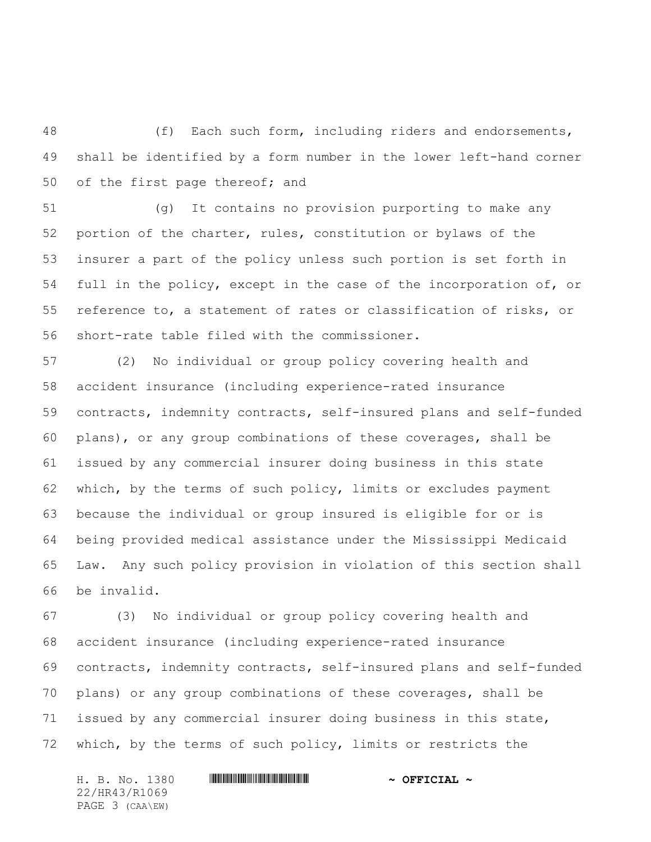(f) Each such form, including riders and endorsements, shall be identified by a form number in the lower left-hand corner of the first page thereof; and

 (g) It contains no provision purporting to make any portion of the charter, rules, constitution or bylaws of the insurer a part of the policy unless such portion is set forth in full in the policy, except in the case of the incorporation of, or reference to, a statement of rates or classification of risks, or short-rate table filed with the commissioner.

 (2) No individual or group policy covering health and accident insurance (including experience-rated insurance contracts, indemnity contracts, self-insured plans and self-funded plans), or any group combinations of these coverages, shall be issued by any commercial insurer doing business in this state which, by the terms of such policy, limits or excludes payment because the individual or group insured is eligible for or is being provided medical assistance under the Mississippi Medicaid Law. Any such policy provision in violation of this section shall be invalid.

 (3) No individual or group policy covering health and accident insurance (including experience-rated insurance contracts, indemnity contracts, self-insured plans and self-funded plans) or any group combinations of these coverages, shall be issued by any commercial insurer doing business in this state, which, by the terms of such policy, limits or restricts the

H. B. No. 1380 **. AND AND AN ADDED \*** OFFICIAL \* 22/HR43/R1069 PAGE 3 (CAA\EW)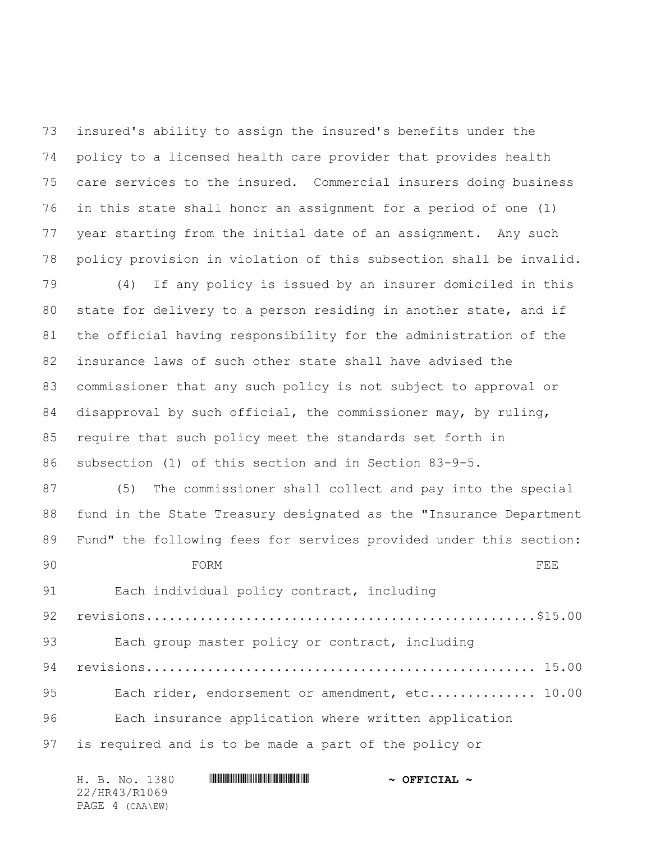insured's ability to assign the insured's benefits under the policy to a licensed health care provider that provides health care services to the insured. Commercial insurers doing business in this state shall honor an assignment for a period of one (1) year starting from the initial date of an assignment. Any such policy provision in violation of this subsection shall be invalid.

 (4) If any policy is issued by an insurer domiciled in this state for delivery to a person residing in another state, and if the official having responsibility for the administration of the insurance laws of such other state shall have advised the commissioner that any such policy is not subject to approval or disapproval by such official, the commissioner may, by ruling, require that such policy meet the standards set forth in subsection (1) of this section and in Section 83-9-5.

 (5) The commissioner shall collect and pay into the special fund in the State Treasury designated as the "Insurance Department Fund" the following fees for services provided under this section:

90 FORM FORM 91 Each individual policy contract, including revisions...................................................\$15.00 Each group master policy or contract, including revisions................................................... 15.00 95 Each rider, endorsement or amendment, etc.............. 10.00 96 Each insurance application where written application is required and is to be made a part of the policy or

|               | H. B. No. 1380  |  |  | $\sim$ OFFICIAL $\sim$ |
|---------------|-----------------|--|--|------------------------|
| 22/HR43/R1069 |                 |  |  |                        |
|               | PAGE 4 (CAA\EW) |  |  |                        |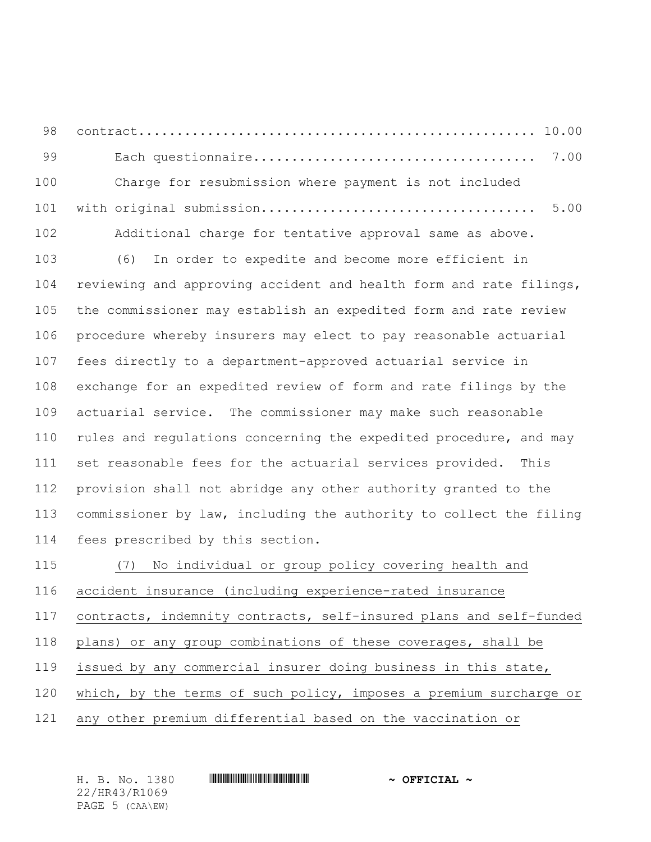contract.................................................... 10.00 99 Each questionnaire..................................... 7.00

100 Charge for resubmission where payment is not included with original submission.................................... 5.00

 Additional charge for tentative approval same as above. (6) In order to expedite and become more efficient in reviewing and approving accident and health form and rate filings, the commissioner may establish an expedited form and rate review procedure whereby insurers may elect to pay reasonable actuarial fees directly to a department-approved actuarial service in exchange for an expedited review of form and rate filings by the actuarial service. The commissioner may make such reasonable rules and regulations concerning the expedited procedure, and may set reasonable fees for the actuarial services provided. This provision shall not abridge any other authority granted to the commissioner by law, including the authority to collect the filing fees prescribed by this section.

 (7) No individual or group policy covering health and accident insurance (including experience-rated insurance contracts, indemnity contracts, self-insured plans and self-funded plans) or any group combinations of these coverages, shall be issued by any commercial insurer doing business in this state, which, by the terms of such policy, imposes a premium surcharge or any other premium differential based on the vaccination or

H. B. No. 1380 \*HR43/R1069\* **~ OFFICIAL ~** 22/HR43/R1069 PAGE 5 (CAA\EW)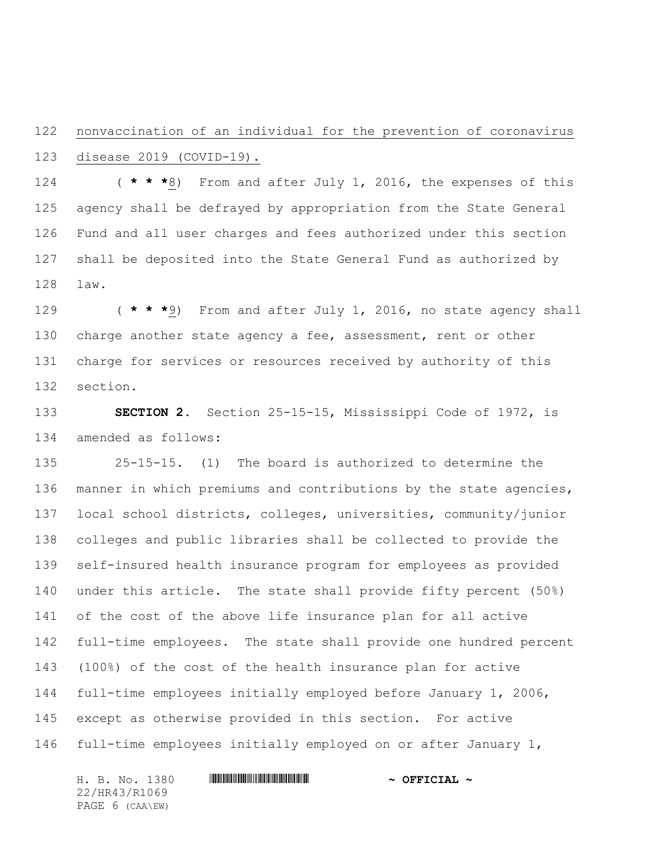## nonvaccination of an individual for the prevention of coronavirus disease 2019 (COVID-19).

 ( **\* \* \***8) From and after July 1, 2016, the expenses of this agency shall be defrayed by appropriation from the State General Fund and all user charges and fees authorized under this section shall be deposited into the State General Fund as authorized by law.

 ( **\* \* \***9) From and after July 1, 2016, no state agency shall charge another state agency a fee, assessment, rent or other charge for services or resources received by authority of this section.

 **SECTION 2.** Section 25-15-15, Mississippi Code of 1972, is amended as follows:

 25-15-15. (1) The board is authorized to determine the 136 manner in which premiums and contributions by the state agencies, local school districts, colleges, universities, community/junior colleges and public libraries shall be collected to provide the self-insured health insurance program for employees as provided under this article. The state shall provide fifty percent (50%) of the cost of the above life insurance plan for all active full-time employees. The state shall provide one hundred percent (100%) of the cost of the health insurance plan for active full-time employees initially employed before January 1, 2006, except as otherwise provided in this section. For active full-time employees initially employed on or after January 1,

H. B. No. 1380 **. AND AND AN ADDED \*** OFFICIAL \* 22/HR43/R1069 PAGE 6 (CAA\EW)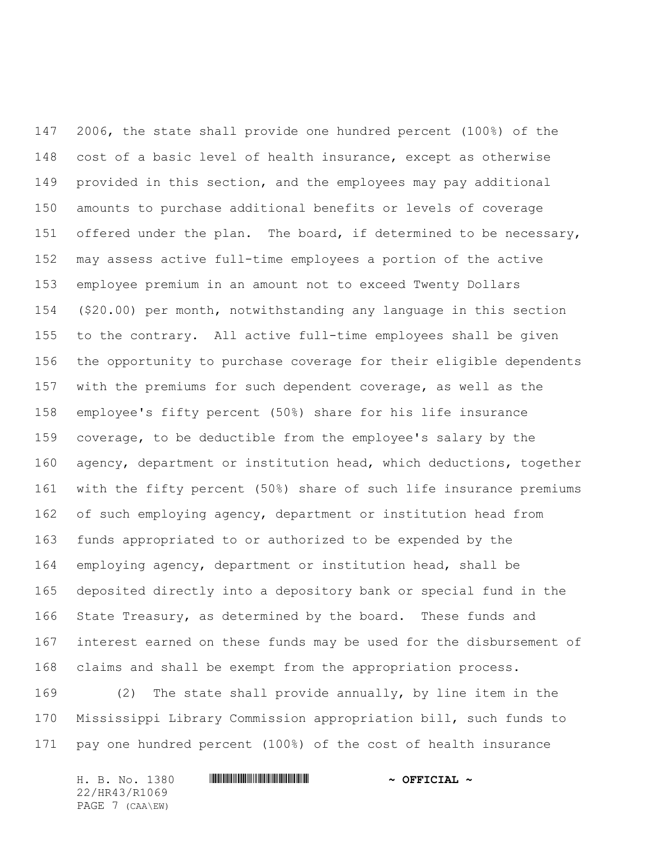2006, the state shall provide one hundred percent (100%) of the cost of a basic level of health insurance, except as otherwise provided in this section, and the employees may pay additional amounts to purchase additional benefits or levels of coverage 151 offered under the plan. The board, if determined to be necessary, may assess active full-time employees a portion of the active employee premium in an amount not to exceed Twenty Dollars (\$20.00) per month, notwithstanding any language in this section to the contrary. All active full-time employees shall be given the opportunity to purchase coverage for their eligible dependents with the premiums for such dependent coverage, as well as the employee's fifty percent (50%) share for his life insurance coverage, to be deductible from the employee's salary by the agency, department or institution head, which deductions, together with the fifty percent (50%) share of such life insurance premiums of such employing agency, department or institution head from funds appropriated to or authorized to be expended by the employing agency, department or institution head, shall be deposited directly into a depository bank or special fund in the State Treasury, as determined by the board. These funds and interest earned on these funds may be used for the disbursement of claims and shall be exempt from the appropriation process.

 (2) The state shall provide annually, by line item in the Mississippi Library Commission appropriation bill, such funds to pay one hundred percent (100%) of the cost of health insurance

H. B. No. 1380 **. AND AND AN ADDED \*** OFFICIAL \* 22/HR43/R1069 PAGE 7 (CAA\EW)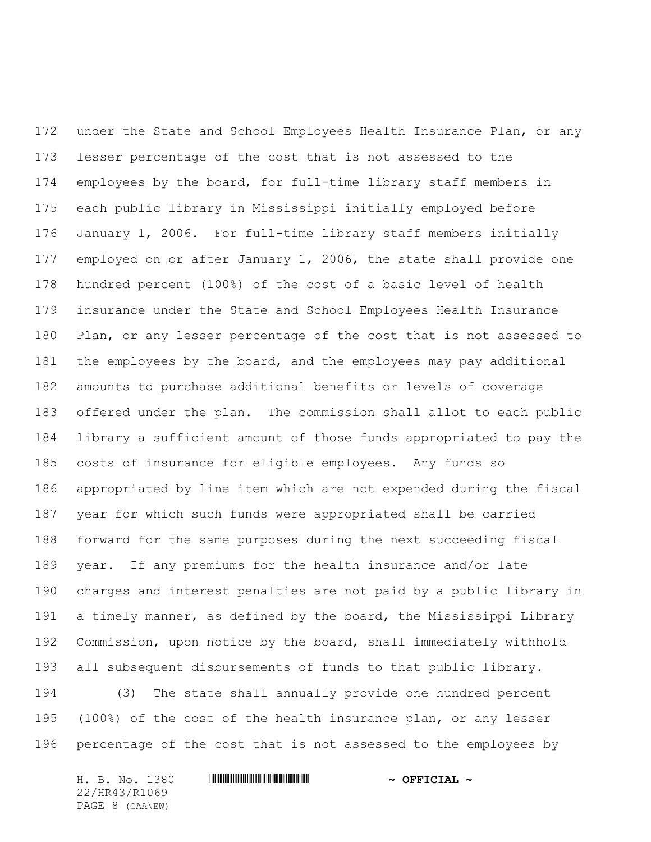under the State and School Employees Health Insurance Plan, or any lesser percentage of the cost that is not assessed to the employees by the board, for full-time library staff members in each public library in Mississippi initially employed before January 1, 2006. For full-time library staff members initially employed on or after January 1, 2006, the state shall provide one hundred percent (100%) of the cost of a basic level of health insurance under the State and School Employees Health Insurance Plan, or any lesser percentage of the cost that is not assessed to the employees by the board, and the employees may pay additional amounts to purchase additional benefits or levels of coverage offered under the plan. The commission shall allot to each public library a sufficient amount of those funds appropriated to pay the costs of insurance for eligible employees. Any funds so appropriated by line item which are not expended during the fiscal year for which such funds were appropriated shall be carried forward for the same purposes during the next succeeding fiscal year. If any premiums for the health insurance and/or late charges and interest penalties are not paid by a public library in a timely manner, as defined by the board, the Mississippi Library Commission, upon notice by the board, shall immediately withhold all subsequent disbursements of funds to that public library. (3) The state shall annually provide one hundred percent

 (100%) of the cost of the health insurance plan, or any lesser percentage of the cost that is not assessed to the employees by

H. B. No. 1380 **. AND AND AN ADDED \*** OFFICIAL \* 22/HR43/R1069 PAGE 8 (CAA\EW)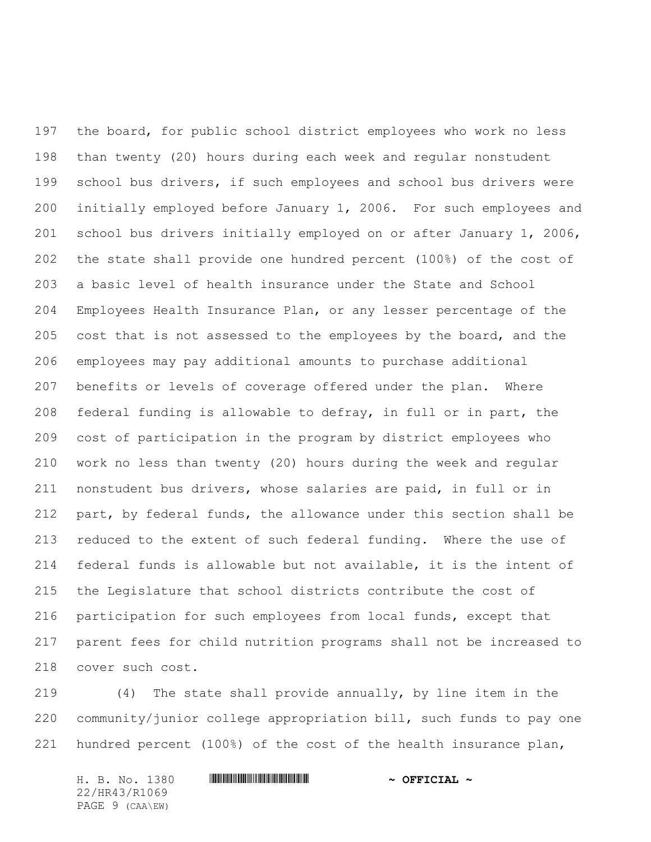the board, for public school district employees who work no less than twenty (20) hours during each week and regular nonstudent 199 school bus drivers, if such employees and school bus drivers were initially employed before January 1, 2006. For such employees and school bus drivers initially employed on or after January 1, 2006, the state shall provide one hundred percent (100%) of the cost of a basic level of health insurance under the State and School Employees Health Insurance Plan, or any lesser percentage of the 205 cost that is not assessed to the employees by the board, and the employees may pay additional amounts to purchase additional benefits or levels of coverage offered under the plan. Where federal funding is allowable to defray, in full or in part, the cost of participation in the program by district employees who work no less than twenty (20) hours during the week and regular nonstudent bus drivers, whose salaries are paid, in full or in part, by federal funds, the allowance under this section shall be reduced to the extent of such federal funding. Where the use of federal funds is allowable but not available, it is the intent of the Legislature that school districts contribute the cost of participation for such employees from local funds, except that parent fees for child nutrition programs shall not be increased to cover such cost.

 (4) The state shall provide annually, by line item in the community/junior college appropriation bill, such funds to pay one hundred percent (100%) of the cost of the health insurance plan,

H. B. No. 1380 **. AND AND AN ADDED \*** OFFICIAL \* 22/HR43/R1069 PAGE 9 (CAA\EW)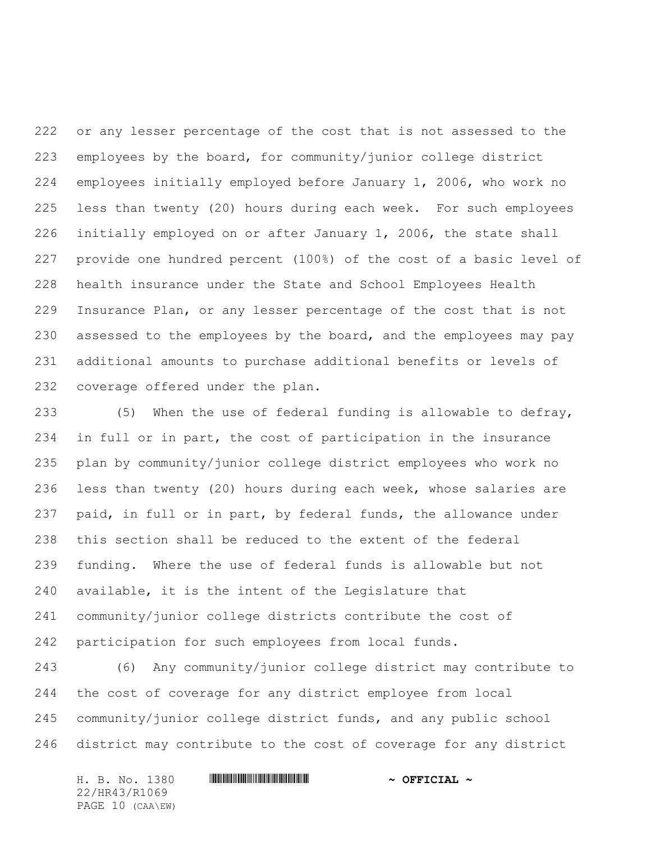or any lesser percentage of the cost that is not assessed to the employees by the board, for community/junior college district employees initially employed before January 1, 2006, who work no less than twenty (20) hours during each week. For such employees initially employed on or after January 1, 2006, the state shall provide one hundred percent (100%) of the cost of a basic level of health insurance under the State and School Employees Health Insurance Plan, or any lesser percentage of the cost that is not 230 assessed to the employees by the board, and the employees may pay additional amounts to purchase additional benefits or levels of coverage offered under the plan.

 (5) When the use of federal funding is allowable to defray, in full or in part, the cost of participation in the insurance plan by community/junior college district employees who work no less than twenty (20) hours during each week, whose salaries are paid, in full or in part, by federal funds, the allowance under this section shall be reduced to the extent of the federal funding. Where the use of federal funds is allowable but not available, it is the intent of the Legislature that community/junior college districts contribute the cost of participation for such employees from local funds.

 (6) Any community/junior college district may contribute to the cost of coverage for any district employee from local community/junior college district funds, and any public school district may contribute to the cost of coverage for any district

H. B. No. 1380 **. AND AND AN ADDED \*** OFFICIAL \* 22/HR43/R1069 PAGE 10 (CAA\EW)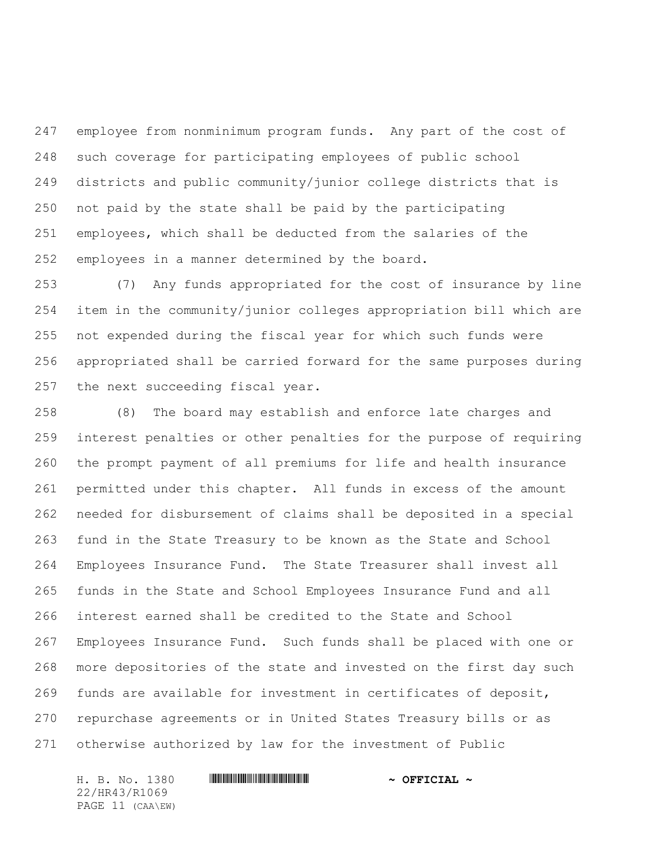employee from nonminimum program funds. Any part of the cost of such coverage for participating employees of public school districts and public community/junior college districts that is not paid by the state shall be paid by the participating employees, which shall be deducted from the salaries of the employees in a manner determined by the board.

 (7) Any funds appropriated for the cost of insurance by line item in the community/junior colleges appropriation bill which are not expended during the fiscal year for which such funds were appropriated shall be carried forward for the same purposes during the next succeeding fiscal year.

 (8) The board may establish and enforce late charges and interest penalties or other penalties for the purpose of requiring the prompt payment of all premiums for life and health insurance permitted under this chapter. All funds in excess of the amount needed for disbursement of claims shall be deposited in a special fund in the State Treasury to be known as the State and School Employees Insurance Fund. The State Treasurer shall invest all funds in the State and School Employees Insurance Fund and all interest earned shall be credited to the State and School Employees Insurance Fund. Such funds shall be placed with one or more depositories of the state and invested on the first day such funds are available for investment in certificates of deposit, repurchase agreements or in United States Treasury bills or as otherwise authorized by law for the investment of Public

22/HR43/R1069 PAGE 11 (CAA\EW)

## H. B. No. 1380 **. AND AND AN ADDED \*** OFFICIAL \*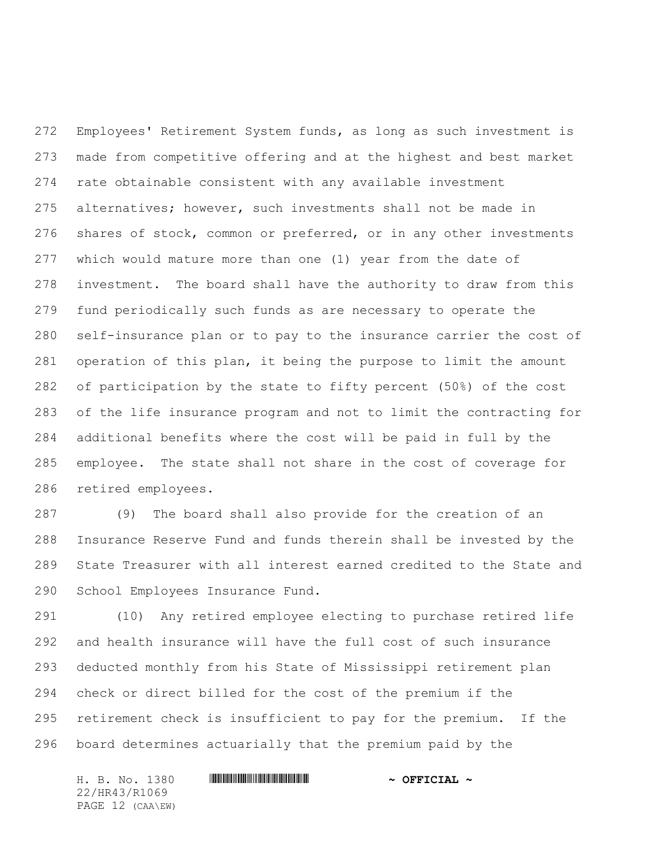Employees' Retirement System funds, as long as such investment is made from competitive offering and at the highest and best market rate obtainable consistent with any available investment alternatives; however, such investments shall not be made in 276 shares of stock, common or preferred, or in any other investments which would mature more than one (1) year from the date of investment. The board shall have the authority to draw from this fund periodically such funds as are necessary to operate the self-insurance plan or to pay to the insurance carrier the cost of operation of this plan, it being the purpose to limit the amount of participation by the state to fifty percent (50%) of the cost of the life insurance program and not to limit the contracting for additional benefits where the cost will be paid in full by the employee. The state shall not share in the cost of coverage for retired employees.

 (9) The board shall also provide for the creation of an Insurance Reserve Fund and funds therein shall be invested by the State Treasurer with all interest earned credited to the State and School Employees Insurance Fund.

 (10) Any retired employee electing to purchase retired life and health insurance will have the full cost of such insurance deducted monthly from his State of Mississippi retirement plan check or direct billed for the cost of the premium if the retirement check is insufficient to pay for the premium. If the board determines actuarially that the premium paid by the

H. B. No. 1380 **. HR441 MINIMUM MINIMUM MINIMUM \*** OFFICIAL ~ 22/HR43/R1069 PAGE 12 (CAA\EW)